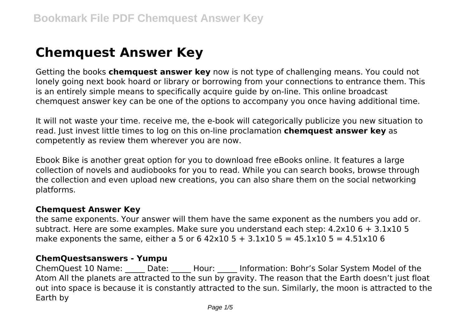# **Chemquest Answer Key**

Getting the books **chemquest answer key** now is not type of challenging means. You could not lonely going next book hoard or library or borrowing from your connections to entrance them. This is an entirely simple means to specifically acquire guide by on-line. This online broadcast chemquest answer key can be one of the options to accompany you once having additional time.

It will not waste your time. receive me, the e-book will categorically publicize you new situation to read. Just invest little times to log on this on-line proclamation **chemquest answer key** as competently as review them wherever you are now.

Ebook Bike is another great option for you to download free eBooks online. It features a large collection of novels and audiobooks for you to read. While you can search books, browse through the collection and even upload new creations, you can also share them on the social networking platforms.

#### **Chemquest Answer Key**

the same exponents. Your answer will them have the same exponent as the numbers you add or. subtract. Here are some examples. Make sure you understand each step: 4.2x10 6 + 3.1x10 5 make exponents the same, either a 5 or 6 42x10 5 + 3.1x10 5 = 45.1x10 5 = 4.51x10 6

#### **ChemQuestsanswers - Yumpu**

ChemQuest 10 Name: Date: Hour: Information: Bohr's Solar System Model of the Atom All the planets are attracted to the sun by gravity. The reason that the Earth doesn't just float out into space is because it is constantly attracted to the sun. Similarly, the moon is attracted to the Earth by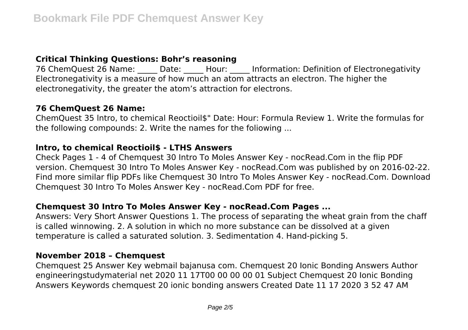# **Critical Thinking Questions: Bohr's reasoning**

76 ChemQuest 26 Name: Date: Hour: Information: Definition of Electronegativity Electronegativity is a measure of how much an atom attracts an electron. The higher the electronegativity, the greater the atom's attraction for electrons.

### **76 ChemQuest 26 Name:**

ChemQuest 35 lntro, to chemical Reoctioil\$" Date: Hour: Formula Review 1. Write the formulas for the following compounds: 2. Write the names for the foliowing ...

### **lntro, to chemical Reoctioil\$ - LTHS Answers**

Check Pages 1 - 4 of Chemquest 30 Intro To Moles Answer Key - nocRead.Com in the flip PDF version. Chemquest 30 Intro To Moles Answer Key - nocRead.Com was published by on 2016-02-22. Find more similar flip PDFs like Chemquest 30 Intro To Moles Answer Key - nocRead.Com. Download Chemquest 30 Intro To Moles Answer Key - nocRead.Com PDF for free.

## **Chemquest 30 Intro To Moles Answer Key - nocRead.Com Pages ...**

Answers: Very Short Answer Questions 1. The process of separating the wheat grain from the chaff is called winnowing. 2. A solution in which no more substance can be dissolved at a given temperature is called a saturated solution. 3. Sedimentation 4. Hand-picking 5.

### **November 2018 – Chemquest**

Chemquest 25 Answer Key webmail bajanusa com. Chemquest 20 Ionic Bonding Answers Author engineeringstudymaterial net 2020 11 17T00 00 00 00 01 Subject Chemquest 20 Ionic Bonding Answers Keywords chemquest 20 ionic bonding answers Created Date 11 17 2020 3 52 47 AM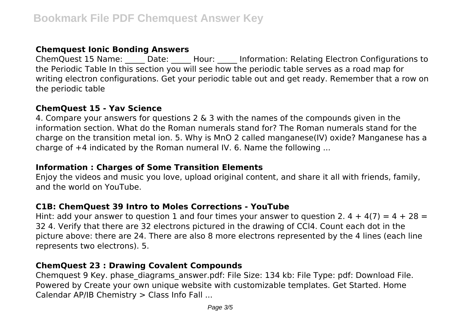## **Chemquest Ionic Bonding Answers**

ChemQuest 15 Name: \_\_\_\_\_ Date: \_\_\_\_\_ Hour: \_\_\_\_\_ Information: Relating Electron Configurations to the Periodic Table In this section you will see how the periodic table serves as a road map for writing electron configurations. Get your periodic table out and get ready. Remember that a row on the periodic table

## **ChemQuest 15 - Yav Science**

4. Compare your answers for questions 2 & 3 with the names of the compounds given in the information section. What do the Roman numerals stand for? The Roman numerals stand for the charge on the transition metal ion. 5. Why is MnO 2 called manganese(IV) oxide? Manganese has a charge of  $+4$  indicated by the Roman numeral IV. 6. Name the following ...

## **Information : Charges of Some Transition Elements**

Enjoy the videos and music you love, upload original content, and share it all with friends, family, and the world on YouTube.

## **C1B: ChemQuest 39 Intro to Moles Corrections - YouTube**

Hint: add your answer to question 1 and four times your answer to question 2.  $4 + 4(7) = 4 + 28 =$ 32 4. Verify that there are 32 electrons pictured in the drawing of CCl4. Count each dot in the picture above: there are 24. There are also 8 more electrons represented by the 4 lines (each line represents two electrons). 5.

# **ChemQuest 23 : Drawing Covalent Compounds**

Chemquest 9 Key. phase\_diagrams\_answer.pdf: File Size: 134 kb: File Type: pdf: Download File. Powered by Create your own unique website with customizable templates. Get Started. Home Calendar AP/IB Chemistry > Class Info Fall ...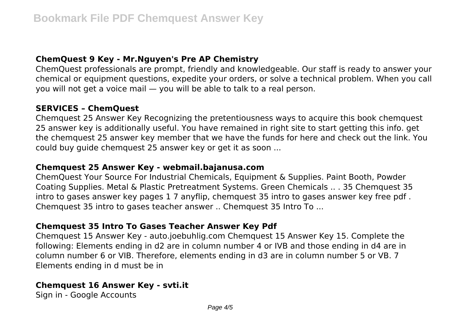## **ChemQuest 9 Key - Mr.Nguyen's Pre AP Chemistry**

ChemQuest professionals are prompt, friendly and knowledgeable. Our staff is ready to answer your chemical or equipment questions, expedite your orders, or solve a technical problem. When you call you will not get a voice mail — you will be able to talk to a real person.

### **SERVICES – ChemQuest**

Chemquest 25 Answer Key Recognizing the pretentiousness ways to acquire this book chemquest 25 answer key is additionally useful. You have remained in right site to start getting this info. get the chemquest 25 answer key member that we have the funds for here and check out the link. You could buy guide chemquest 25 answer key or get it as soon ...

#### **Chemquest 25 Answer Key - webmail.bajanusa.com**

ChemQuest Your Source For Industrial Chemicals, Equipment & Supplies. Paint Booth, Powder Coating Supplies. Metal & Plastic Pretreatment Systems. Green Chemicals .. . 35 Chemquest 35 intro to gases answer key pages 1 7 anyflip, chemquest 35 intro to gases answer key free pdf . Chemquest 35 intro to gases teacher answer .. Chemquest 35 Intro To ...

## **Chemquest 35 Intro To Gases Teacher Answer Key Pdf**

Chemquest 15 Answer Key - auto.joebuhlig.com Chemquest 15 Answer Key 15. Complete the following: Elements ending in d2 are in column number 4 or IVB and those ending in d4 are in column number 6 or VIB. Therefore, elements ending in d3 are in column number 5 or VB. 7 Elements ending in d must be in

## **Chemquest 16 Answer Key - svti.it**

Sign in - Google Accounts